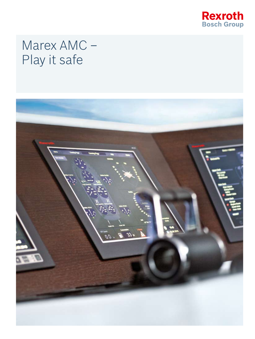

# Marex AMC -Play it safe

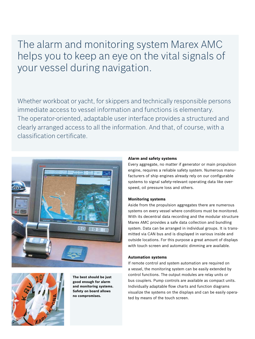The alarm and monitoring system Marex AMC helps you to keep an eye on the vital signals of your vessel during navigation.

Whether workboat or yacht, for skippers and technically responsible persons immediate access to vessel information and functions is elementary. The operator-oriented, adaptable user interface provides a structured and clearly arranged access to all the information. And that, of course, with a classification certificate.





**The best should be just good enough for alarm and monitoring systems. Safety on board allows no compromises.**

### **Alarm and safety systems**

Every aggregate, no matter if generator or main propulsion engine, requires a reliable safety system. Numerous manufacturers of ship engines already rely on our configurable systems to signal safety-relevant operating data like overspeed, oil pressure loss and others.

### **Monitoring systems**

Aside from the propulsion aggregates there are numerous systems on every vessel where conditions must be monitored. With its decentral data recording and the modular structure Marex AMC provides a safe data collection and bundling system. Data can be arranged in individual groups. It is transmitted via CAN bus and is displayed in various inside and outside locations. For this purpose a great amount of displays with touch screen and automatic dimming are available.

### **Automation systems**

If remote control and system automation are required on a vessel, the monitoring system can be easily extended by control functions. The output modules are relay units or bus couplers. Pump controls are available as compact units. Individually adaptable flow charts and function diagrams visualize the systems on the displays and can be easily operated by means of the touch screen.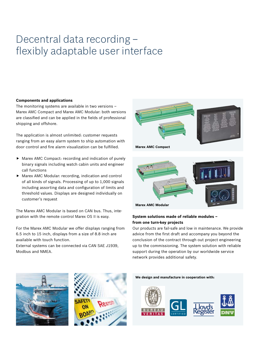# Decentral data recording – flexibly adaptable user interface

# **Components and applications**

The monitoring systems are available in two versions – Marex AMC Compact and Marex AMC Modular: both versions are classified and can be applied in the fields of professional shipping and offshore.

The application is almost unlimited: customer requests ranging from an easy alarm system to ship automation with door control and fire alarm visualization can be fulfilled.

- $\blacktriangleright$  Marex AMC Compact: recording and indication of purely binary signals including watch cabin units and engineer call functions
- $\blacktriangleright$  Marex AMC Modular: recording, indication and control of all kinds of signals. Processing of up to 1,000 signals including assorting data and configuration of limits and threshold values. Displays are designed individually on customer's request

The Marex AMC Modular is based on CAN bus. Thus, integration with the remote control Marex OS II is easy.

For the Marex AMC Modular we offer displays ranging from 6.5 inch to 15 inch, displays from a size of 8.8 inch are available with touch function.

External systems can be connected via CAN SAE J1939, Modbus and NMEA.



**Marex AMC Compact**



# **System solutions made of reliable modules – from one turn-key projects**

Our products are fail-safe and low in maintenance. We provide advice from the first draft and accompany you beyond the conclusion of the contract through out project engineering up to the commissioning. The system solution with reliable support during the operation by our worldwide service network provides additional safety.





**We design and manufacture in cooperation with:**